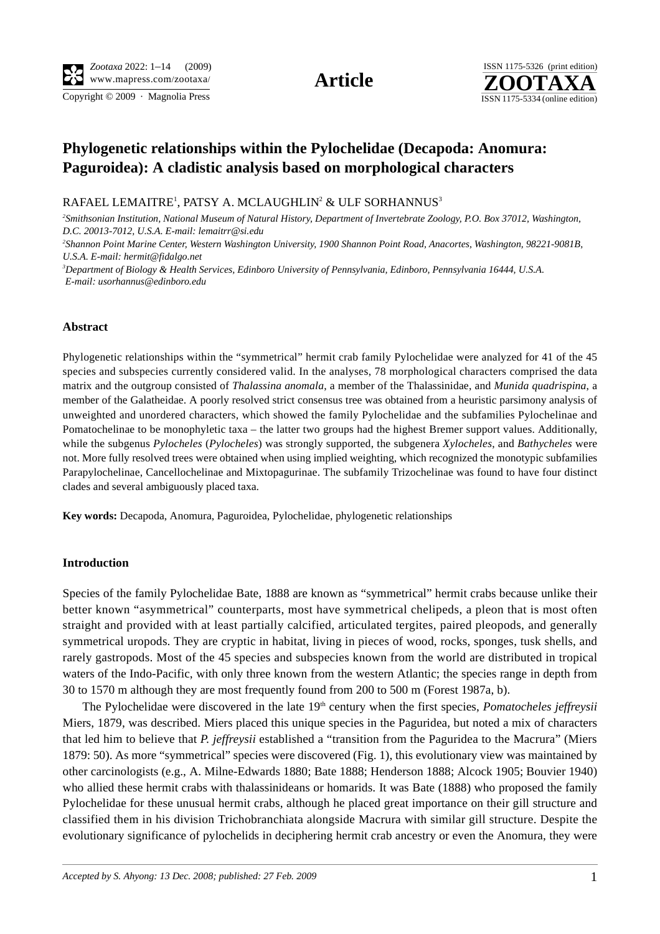Copyright © 2009 · Magnolia Press ISSN 1175-5334 (online edition)



# **Phylogenetic relationships within the Pylochelidae (Decapoda: Anomura: Paguroidea): A cladistic analysis based on morphological characters**

 $\mathsf{RAFAEL}\ \mathsf{LEMAITRE}^1,$   $\mathsf{PATSY}\ \mathsf{A}\ \mathsf{MCLAUGHLIN}^2 \ \&\ \mathsf{ULF}\ \mathsf{SORHANNUS}^3$ 

*2 Smithsonian Institution, National Museum of Natural History, Department of Invertebrate Zoology, P.O. Box 37012, Washington, D.C. 20013-7012, U.S.A. E-mail: lemaitrr@si.edu*

*2 Shannon Point Marine Center, Western Washington University, 1900 Shannon Point Road, Anacortes, Washington, 98221-9081B, U.S.A. E-mail: hermit@fidalgo.net*

*3 Department of Biology & Health Services, Edinboro University of Pennsylvania, Edinboro, Pennsylvania 16444, U.S.A. E-mail: usorhannus@edinboro.edu*

## **Abstract**

Phylogenetic relationships within the "symmetrical" hermit crab family Pylochelidae were analyzed for 41 of the 45 species and subspecies currently considered valid. In the analyses, 78 morphological characters comprised the data matrix and the outgroup consisted of *Thalassina anomala*, a member of the Thalassinidae, and *Munida quadrispina*, a member of the Galatheidae. A poorly resolved strict consensus tree was obtained from a heuristic parsimony analysis of unweighted and unordered characters, which showed the family Pylochelidae and the subfamilies Pylochelinae and Pomatochelinae to be monophyletic taxa – the latter two groups had the highest Bremer support values. Additionally, while the subgenus *Pylocheles* (*Pylocheles*) was strongly supported, the subgenera *Xylocheles*, and *Bathycheles* were not. More fully resolved trees were obtained when using implied weighting, which recognized the monotypic subfamilies Parapylochelinae, Cancellochelinae and Mixtopagurinae. The subfamily Trizochelinae was found to have four distinct clades and several ambiguously placed taxa.

**Key words:** Decapoda, Anomura, Paguroidea, Pylochelidae, phylogenetic relationships

### **Introduction**

Species of the family Pylochelidae Bate, 1888 are known as "symmetrical" hermit crabs because unlike their better known "asymmetrical" counterparts, most have symmetrical chelipeds, a pleon that is most often straight and provided with at least partially calcified, articulated tergites, paired pleopods, and generally symmetrical uropods. They are cryptic in habitat, living in pieces of wood, rocks, sponges, tusk shells, and rarely gastropods. Most of the 45 species and subspecies known from the world are distributed in tropical waters of the Indo-Pacific, with only three known from the western Atlantic; the species range in depth from 30 to 1570 m although they are most frequently found from 200 to 500 m (Forest 1987a, b).

The Pylochelidae were discovered in the late 19<sup>th</sup> century when the first species, *Pomatocheles jeffreysii* Miers, 1879, was described. Miers placed this unique species in the Paguridea, but noted a mix of characters that led him to believe that *P. jeffreysii* established a "transition from the Paguridea to the Macrura" (Miers 1879: 50). As more "symmetrical" species were discovered (Fig. 1), this evolutionary view was maintained by other carcinologists (e.g., A. Milne-Edwards 1880; Bate 1888; Henderson 1888; Alcock 1905; Bouvier 1940) who allied these hermit crabs with thalassinideans or homarids. It was Bate (1888) who proposed the family Pylochelidae for these unusual hermit crabs, although he placed great importance on their gill structure and classified them in his division Trichobranchiata alongside Macrura with similar gill structure. Despite the evolutionary significance of pylochelids in deciphering hermit crab ancestry or even the Anomura, they were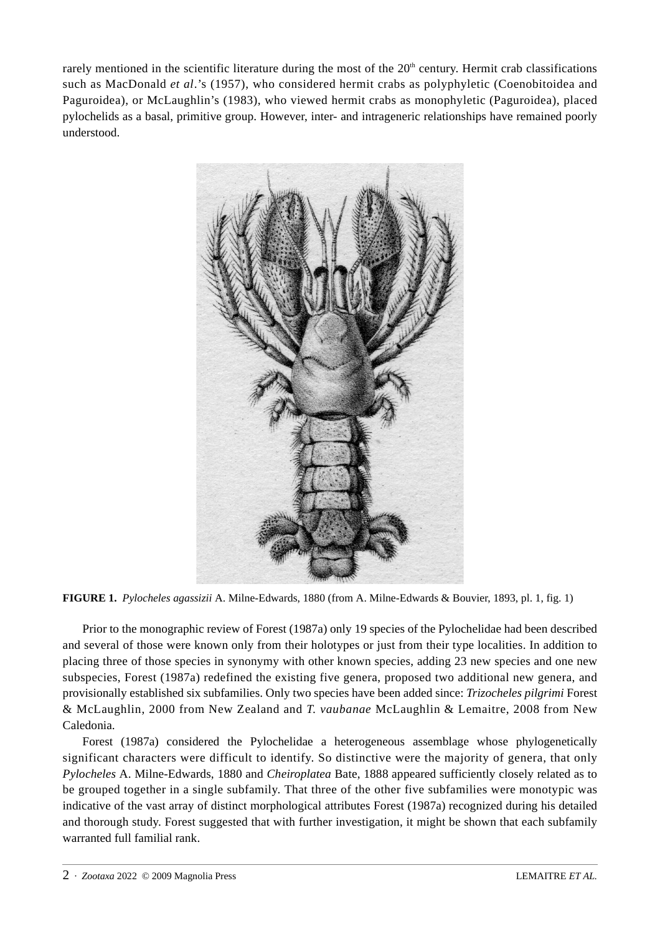rarely mentioned in the scientific literature during the most of the  $20<sup>th</sup>$  century. Hermit crab classifications such as MacDonald *et al*.'s (1957), who considered hermit crabs as polyphyletic (Coenobitoidea and Paguroidea), or McLaughlin's (1983), who viewed hermit crabs as monophyletic (Paguroidea), placed pylochelids as a basal, primitive group. However, inter- and intrageneric relationships have remained poorly understood.



**FIGURE 1.** *Pylocheles agassizii* A. Milne-Edwards, 1880 (from A. Milne-Edwards & Bouvier, 1893, pl. 1, fig. 1)

Prior to the monographic review of Forest (1987a) only 19 species of the Pylochelidae had been described and several of those were known only from their holotypes or just from their type localities. In addition to placing three of those species in synonymy with other known species, adding 23 new species and one new subspecies, Forest (1987a) redefined the existing five genera, proposed two additional new genera, and provisionally established six subfamilies. Only two species have been added since: *Trizocheles pilgrimi* Forest & McLaughlin, 2000 from New Zealand and *T. vaubanae* McLaughlin & Lemaitre, 2008 from New Caledonia.

Forest (1987a) considered the Pylochelidae a heterogeneous assemblage whose phylogenetically significant characters were difficult to identify. So distinctive were the majority of genera, that only *Pylocheles* A. Milne-Edwards, 1880 and *Cheiroplatea* Bate, 1888 appeared sufficiently closely related as to be grouped together in a single subfamily. That three of the other five subfamilies were monotypic was indicative of the vast array of distinct morphological attributes Forest (1987a) recognized during his detailed and thorough study. Forest suggested that with further investigation, it might be shown that each subfamily warranted full familial rank.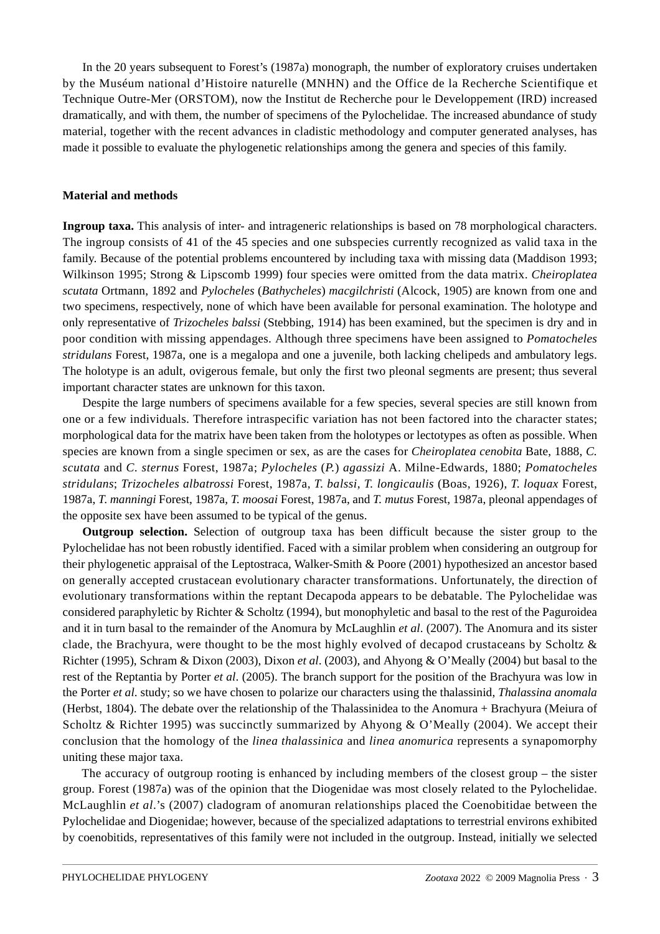In the 20 years subsequent to Forest's (1987a) monograph, the number of exploratory cruises undertaken by the Muséum national d'Histoire naturelle (MNHN) and the Office de la Recherche Scientifique et Technique Outre-Mer (ORSTOM), now the Institut de Recherche pour le Developpement (IRD) increased dramatically, and with them, the number of specimens of the Pylochelidae. The increased abundance of study material, together with the recent advances in cladistic methodology and computer generated analyses, has made it possible to evaluate the phylogenetic relationships among the genera and species of this family.

## **Material and methods**

**Ingroup taxa.** This analysis of inter- and intrageneric relationships is based on 78 morphological characters. The ingroup consists of 41 of the 45 species and one subspecies currently recognized as valid taxa in the family. Because of the potential problems encountered by including taxa with missing data (Maddison 1993; Wilkinson 1995; Strong & Lipscomb 1999) four species were omitted from the data matrix. *Cheiroplatea scutata* Ortmann, 1892 and *Pylocheles* (*Bathycheles*) *macgilchristi* (Alcock, 1905) are known from one and two specimens, respectively, none of which have been available for personal examination. The holotype and only representative of *Trizocheles balssi* (Stebbing, 1914) has been examined, but the specimen is dry and in poor condition with missing appendages. Although three specimens have been assigned to *Pomatocheles stridulans* Forest, 1987a, one is a megalopa and one a juvenile, both lacking chelipeds and ambulatory legs. The holotype is an adult, ovigerous female, but only the first two pleonal segments are present; thus several important character states are unknown for this taxon.

Despite the large numbers of specimens available for a few species, several species are still known from one or a few individuals. Therefore intraspecific variation has not been factored into the character states; morphological data for the matrix have been taken from the holotypes or lectotypes as often as possible. When species are known from a single specimen or sex, as are the cases for *Cheiroplatea cenobita* Bate, 1888, *C. scutata* and *C. sternus* Forest, 1987a; *Pylocheles* (*P.*) *agassizi* A. Milne-Edwards, 1880; *Pomatocheles stridulans*; *Trizocheles albatrossi* Forest, 1987a, *T. balssi*, *T. longicaulis* (Boas, 1926), *T. loquax* Forest, 1987a, *T*. *manningi* Forest, 1987a, *T. moosai* Forest, 1987a, and *T. mutus* Forest, 1987a, pleonal appendages of the opposite sex have been assumed to be typical of the genus.

**Outgroup selection.** Selection of outgroup taxa has been difficult because the sister group to the Pylochelidae has not been robustly identified. Faced with a similar problem when considering an outgroup for their phylogenetic appraisal of the Leptostraca, Walker-Smith & Poore (2001) hypothesized an ancestor based on generally accepted crustacean evolutionary character transformations. Unfortunately, the direction of evolutionary transformations within the reptant Decapoda appears to be debatable. The Pylochelidae was considered paraphyletic by Richter & Scholtz (1994), but monophyletic and basal to the rest of the Paguroidea and it in turn basal to the remainder of the Anomura by McLaughlin *et al*. (2007). The Anomura and its sister clade, the Brachyura, were thought to be the most highly evolved of decapod crustaceans by Scholtz & Richter (1995), Schram & Dixon (2003), Dixon *et al*. (2003), and Ahyong & O'Meally (2004) but basal to the rest of the Reptantia by Porter *et al*. (2005). The branch support for the position of the Brachyura was low in the Porter *et al*. study; so we have chosen to polarize our characters using the thalassinid, *Thalassina anomala* (Herbst, 1804). The debate over the relationship of the Thalassinidea to the Anomura + Brachyura (Meiura of Scholtz & Richter 1995) was succinctly summarized by Ahyong & O'Meally (2004). We accept their conclusion that the homology of the *linea thalassinica* and *linea anomurica* represents a synapomorphy uniting these major taxa.

The accuracy of outgroup rooting is enhanced by including members of the closest group – the sister group. Forest (1987a) was of the opinion that the Diogenidae was most closely related to the Pylochelidae. McLaughlin *et al*.'s (2007) cladogram of anomuran relationships placed the Coenobitidae between the Pylochelidae and Diogenidae; however, because of the specialized adaptations to terrestrial environs exhibited by coenobitids, representatives of this family were not included in the outgroup. Instead, initially we selected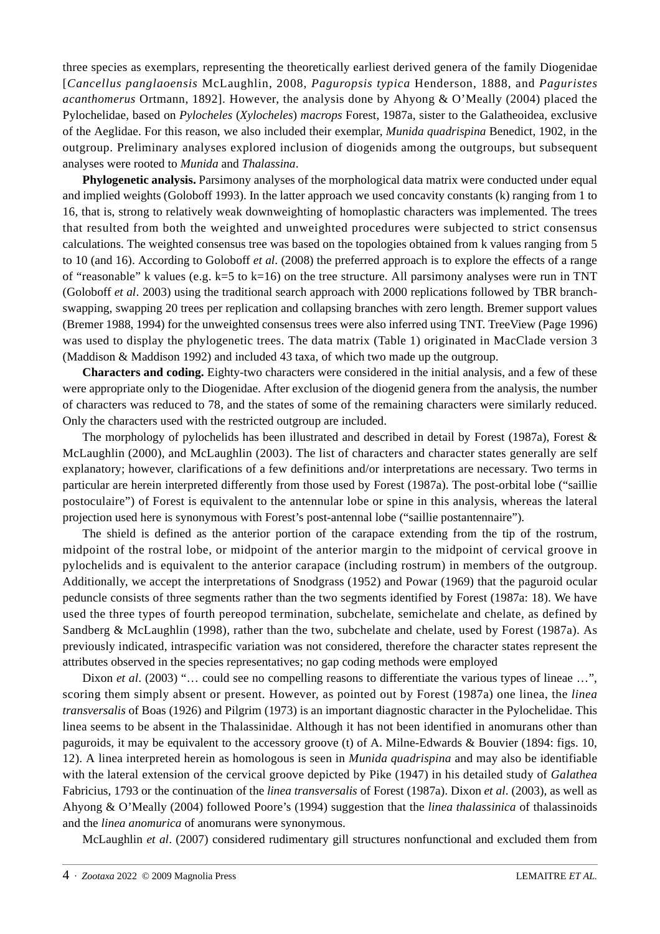three species as exemplars, representing the theoretically earliest derived genera of the family Diogenidae [*Cancellus panglaoensis* McLaughlin, 2008, *Paguropsis typica* Henderson, 1888, and *Paguristes acanthomerus* Ortmann, 1892]. However, the analysis done by Ahyong & O'Meally (2004) placed the Pylochelidae, based on *Pylocheles* (*Xylocheles*) *macrops* Forest, 1987a, sister to the Galatheoidea, exclusive of the Aeglidae. For this reason, we also included their exemplar, *Munida quadrispina* Benedict, 1902, in the outgroup. Preliminary analyses explored inclusion of diogenids among the outgroups, but subsequent analyses were rooted to *Munida* and *Thalassina*.

**Phylogenetic analysis.** Parsimony analyses of the morphological data matrix were conducted under equal and implied weights (Goloboff 1993). In the latter approach we used concavity constants (k) ranging from 1 to 16, that is, strong to relatively weak downweighting of homoplastic characters was implemented. The trees that resulted from both the weighted and unweighted procedures were subjected to strict consensus calculations. The weighted consensus tree was based on the topologies obtained from k values ranging from 5 to 10 (and 16). According to Goloboff *et al*. (2008) the preferred approach is to explore the effects of a range of "reasonable" k values (e.g. k=5 to k=16) on the tree structure. All parsimony analyses were run in TNT (Goloboff *et al*. 2003) using the traditional search approach with 2000 replications followed by TBR branchswapping, swapping 20 trees per replication and collapsing branches with zero length. Bremer support values (Bremer 1988, 1994) for the unweighted consensus trees were also inferred using TNT. TreeView (Page 1996) was used to display the phylogenetic trees. The data matrix (Table 1) originated in MacClade version 3 (Maddison & Maddison 1992) and included 43 taxa, of which two made up the outgroup.

**Characters and coding.** Eighty-two characters were considered in the initial analysis, and a few of these were appropriate only to the Diogenidae. After exclusion of the diogenid genera from the analysis, the number of characters was reduced to 78, and the states of some of the remaining characters were similarly reduced. Only the characters used with the restricted outgroup are included.

The morphology of pylochelids has been illustrated and described in detail by Forest (1987a), Forest & McLaughlin (2000), and McLaughlin (2003). The list of characters and character states generally are self explanatory; however, clarifications of a few definitions and/or interpretations are necessary. Two terms in particular are herein interpreted differently from those used by Forest (1987a). The post-orbital lobe ("saillie postoculaire") of Forest is equivalent to the antennular lobe or spine in this analysis, whereas the lateral projection used here is synonymous with Forest's post-antennal lobe ("saillie postantennaire").

The shield is defined as the anterior portion of the carapace extending from the tip of the rostrum, midpoint of the rostral lobe, or midpoint of the anterior margin to the midpoint of cervical groove in pylochelids and is equivalent to the anterior carapace (including rostrum) in members of the outgroup. Additionally, we accept the interpretations of Snodgrass (1952) and Powar (1969) that the paguroid ocular peduncle consists of three segments rather than the two segments identified by Forest (1987a: 18). We have used the three types of fourth pereopod termination, subchelate, semichelate and chelate, as defined by Sandberg & McLaughlin (1998), rather than the two, subchelate and chelate, used by Forest (1987a). As previously indicated, intraspecific variation was not considered, therefore the character states represent the attributes observed in the species representatives; no gap coding methods were employed

Dixon *et al.* (2003) "... could see no compelling reasons to differentiate the various types of lineae ...", scoring them simply absent or present. However, as pointed out by Forest (1987a) one linea, the *linea transversalis* of Boas (1926) and Pilgrim (1973) is an important diagnostic character in the Pylochelidae. This linea seems to be absent in the Thalassinidae. Although it has not been identified in anomurans other than paguroids, it may be equivalent to the accessory groove (t) of A. Milne-Edwards & Bouvier (1894: figs. 10, 12). A linea interpreted herein as homologous is seen in *Munida quadrispina* and may also be identifiable with the lateral extension of the cervical groove depicted by Pike (1947) in his detailed study of *Galathea* Fabricius, 1793 or the continuation of the *linea transversalis* of Forest (1987a). Dixon *et al*. (2003), as well as Ahyong & O'Meally (2004) followed Poore's (1994) suggestion that the *linea thalassinica* of thalassinoids and the *linea anomurica* of anomurans were synonymous.

McLaughlin *et al*. (2007) considered rudimentary gill structures nonfunctional and excluded them from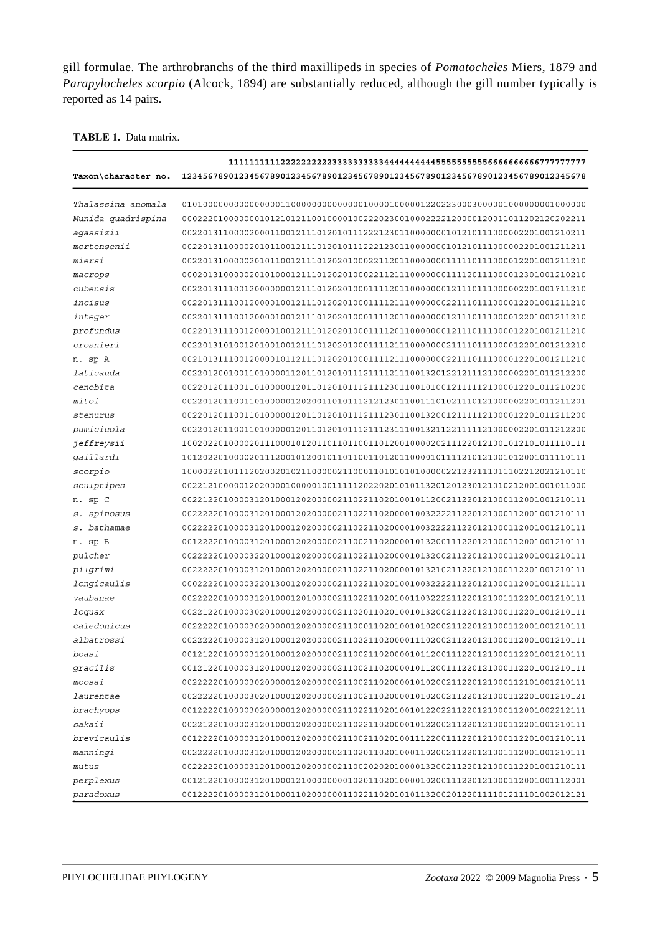gill formulae. The arthrobranchs of the third maxillipeds in species of *Pomatocheles* Miers, 1879 and *Parapylocheles scorpio* (Alcock, 1894) are substantially reduced, although the gill number typically is reported as 14 pairs.

#### TABLE 1. Data matrix.

| Taxon\character no. | 123456789012345678901234567890123456789012345678901234567890123456789012345678 |
|---------------------|--------------------------------------------------------------------------------|
| Thalassina anomala  |                                                                                |
| Munida quadrispina  |                                                                                |
| aqassizii           | 002201311000020001100121110120101112221230110000000101210111000002201001210211 |
| mortensenii         | 002201311000020101100121110120101112221230110000000101210111000002201001211211 |
| miersi              |                                                                                |
| macrops             |                                                                                |
| cubensis            |                                                                                |
| incisus             |                                                                                |
| integer             |                                                                                |
| profundus           |                                                                                |
| crosnieri           |                                                                                |
| n. sp A             |                                                                                |
| laticauda           | 002201200100110100001120110120101112111121110013201221211121000002201011212200 |
| cenobita            | 002201201100110100000120110120101112111230110010100121111121000012201011210200 |
| mitoi               | 002201201100110100000120200110101112121230110011101021110121000002201011211201 |
| stenurus            | 002201201100110100000120110120101112111230110013200121111121000012201011211200 |
| pumicicola          | 002201201100110100000120110120101112111231110013211221111121000002201011212200 |
| jeffreysii          |                                                                                |
| qaillardi           |                                                                                |
| scorpio             |                                                                                |
| sculptipes          |                                                                                |
| n. sp C             |                                                                                |
| s. spinosus         | 002222201000031201000120200000211022110200001003222211220121000112001001210111 |
| s. bathamae         | 002222201000031201000120200000211022110200001003222211220121000112001001210111 |
| n. sp B             |                                                                                |
| pulcher             | 002222201000032201000120200000211022110200001013200211220121000112001001210111 |
| pilgrimi            | 002222201000031201000120200000211022110200001013210211220121000112201001210111 |
| longicaulis         | 000222201000032201300120200000211022110201001003222211220121000112001001211111 |
| vaubanae            | 002222201000031201000120100000211022110201001103222211220121001112201001210111 |
| loquax              | 002212201000030201000120200000211020110201001013200211220121000112201001210111 |
| caledonicus         |                                                                                |
| albatrossi          |                                                                                |
| boasi               |                                                                                |
| gracilis            |                                                                                |
| moosai              |                                                                                |
| laurentae           |                                                                                |
| brachyops           | 001222201000030200000120200000211022110201001012202211220121000112001002212111 |
| sakaii              | 002212201000031201000120200000211022110200001012200211220121000112201001210111 |
|                     |                                                                                |
| brevicaulis         |                                                                                |
| manningi            |                                                                                |
| mutus               | 002222201000031201000120200000211002020201000013200211220121000112201001210111 |
| perplexus           |                                                                                |
| paradoxus           | 001222201000031201000110200000011022110201010113200201220111101211101002012121 |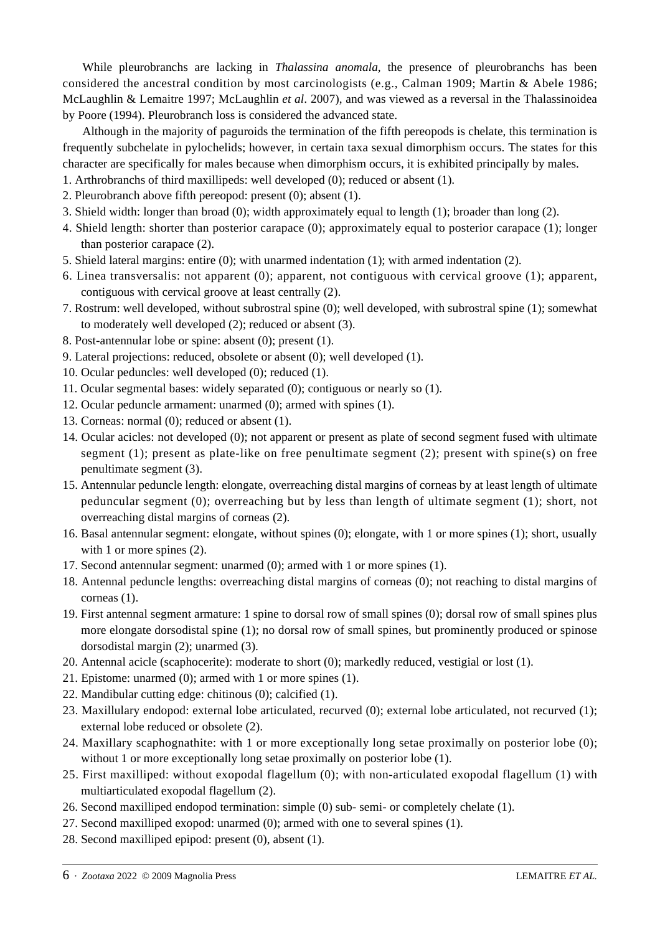While pleurobranchs are lacking in *Thalassina anomala*, the presence of pleurobranchs has been considered the ancestral condition by most carcinologists (e.g., Calman 1909; Martin & Abele 1986; McLaughlin & Lemaitre 1997; McLaughlin *et al*. 2007), and was viewed as a reversal in the Thalassinoidea by Poore (1994). Pleurobranch loss is considered the advanced state.

Although in the majority of paguroids the termination of the fifth pereopods is chelate, this termination is frequently subchelate in pylochelids; however, in certain taxa sexual dimorphism occurs. The states for this character are specifically for males because when dimorphism occurs, it is exhibited principally by males.

- 1. Arthrobranchs of third maxillipeds: well developed (0); reduced or absent (1).
- 2. Pleurobranch above fifth pereopod: present (0); absent (1).
- 3. Shield width: longer than broad (0); width approximately equal to length (1); broader than long (2).
- 4. Shield length: shorter than posterior carapace (0); approximately equal to posterior carapace (1); longer than posterior carapace (2).
- 5. Shield lateral margins: entire (0); with unarmed indentation (1); with armed indentation (2).
- 6. Linea transversalis: not apparent (0); apparent, not contiguous with cervical groove (1); apparent, contiguous with cervical groove at least centrally (2).
- 7. Rostrum: well developed, without subrostral spine (0); well developed, with subrostral spine (1); somewhat to moderately well developed (2); reduced or absent (3).
- 8. Post-antennular lobe or spine: absent (0); present (1).
- 9. Lateral projections: reduced, obsolete or absent (0); well developed (1).
- 10. Ocular peduncles: well developed (0); reduced (1).
- 11. Ocular segmental bases: widely separated (0); contiguous or nearly so (1).
- 12. Ocular peduncle armament: unarmed (0); armed with spines (1).
- 13. Corneas: normal (0); reduced or absent (1).
- 14. Ocular acicles: not developed (0); not apparent or present as plate of second segment fused with ultimate segment (1); present as plate-like on free penultimate segment (2); present with spine(s) on free penultimate segment (3).
- 15. Antennular peduncle length: elongate, overreaching distal margins of corneas by at least length of ultimate peduncular segment (0); overreaching but by less than length of ultimate segment (1); short, not overreaching distal margins of corneas (2).
- 16. Basal antennular segment: elongate, without spines (0); elongate, with 1 or more spines (1); short, usually with 1 or more spines  $(2)$ .
- 17. Second antennular segment: unarmed (0); armed with 1 or more spines (1).
- 18. Antennal peduncle lengths: overreaching distal margins of corneas (0); not reaching to distal margins of corneas (1).
- 19. First antennal segment armature: 1 spine to dorsal row of small spines (0); dorsal row of small spines plus more elongate dorsodistal spine (1); no dorsal row of small spines, but prominently produced or spinose dorsodistal margin (2); unarmed (3).
- 20. Antennal acicle (scaphocerite): moderate to short (0); markedly reduced, vestigial or lost (1).
- 21. Epistome: unarmed (0); armed with 1 or more spines (1).
- 22. Mandibular cutting edge: chitinous (0); calcified (1).
- 23. Maxillulary endopod: external lobe articulated, recurved (0); external lobe articulated, not recurved (1); external lobe reduced or obsolete (2).
- 24. Maxillary scaphognathite: with 1 or more exceptionally long setae proximally on posterior lobe (0); without 1 or more exceptionally long setae proximally on posterior lobe (1).
- 25. First maxilliped: without exopodal flagellum (0); with non-articulated exopodal flagellum (1) with multiarticulated exopodal flagellum (2).
- 26. Second maxilliped endopod termination: simple (0) sub- semi- or completely chelate (1).
- 27. Second maxilliped exopod: unarmed (0); armed with one to several spines (1).
- 28. Second maxilliped epipod: present (0), absent (1).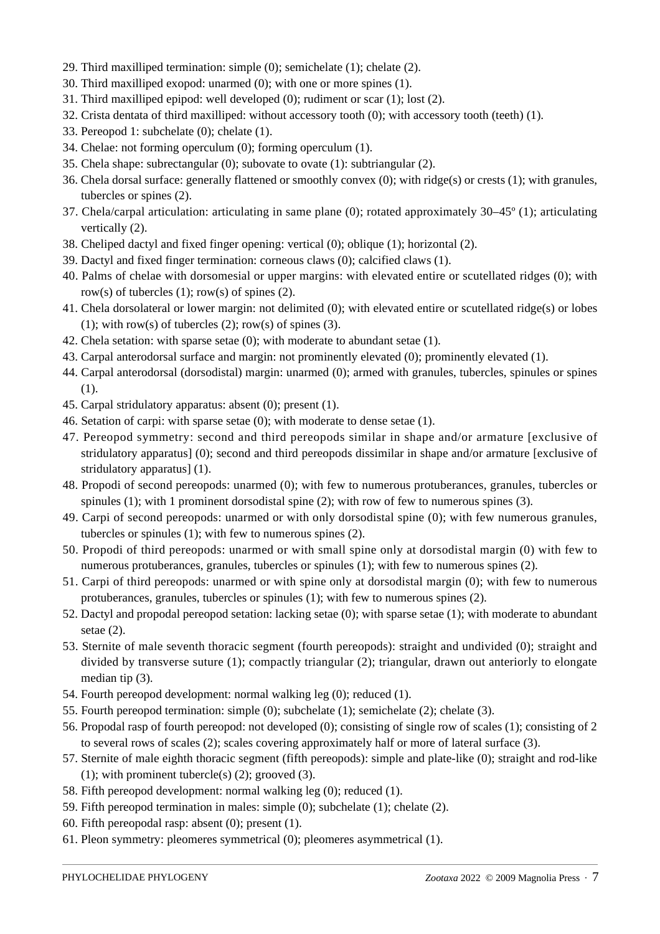- 29. Third maxilliped termination: simple (0); semichelate (1); chelate (2).
- 30. Third maxilliped exopod: unarmed (0); with one or more spines (1).
- 31. Third maxilliped epipod: well developed (0); rudiment or scar (1); lost (2).
- 32. Crista dentata of third maxilliped: without accessory tooth (0); with accessory tooth (teeth) (1).
- 33. Pereopod 1: subchelate (0); chelate (1).
- 34. Chelae: not forming operculum (0); forming operculum (1).
- 35. Chela shape: subrectangular (0); subovate to ovate (1): subtriangular (2).
- 36. Chela dorsal surface: generally flattened or smoothly convex (0); with ridge(s) or crests (1); with granules, tubercles or spines (2).
- 37. Chela/carpal articulation: articulating in same plane (0); rotated approximately 30–45º (1); articulating vertically (2).
- 38. Cheliped dactyl and fixed finger opening: vertical (0); oblique (1); horizontal (2).
- 39. Dactyl and fixed finger termination: corneous claws (0); calcified claws (1).
- 40. Palms of chelae with dorsomesial or upper margins: with elevated entire or scutellated ridges (0); with row(s) of tubercles  $(1)$ ; row(s) of spines  $(2)$ .
- 41. Chela dorsolateral or lower margin: not delimited (0); with elevated entire or scutellated ridge(s) or lobes (1); with row(s) of tubercles  $(2)$ ; row(s) of spines  $(3)$ .
- 42. Chela setation: with sparse setae (0); with moderate to abundant setae (1).
- 43. Carpal anterodorsal surface and margin: not prominently elevated (0); prominently elevated (1).
- 44. Carpal anterodorsal (dorsodistal) margin: unarmed (0); armed with granules, tubercles, spinules or spines (1).
- 45. Carpal stridulatory apparatus: absent (0); present (1).
- 46. Setation of carpi: with sparse setae (0); with moderate to dense setae (1).
- 47. Pereopod symmetry: second and third pereopods similar in shape and/or armature [exclusive of stridulatory apparatus] (0); second and third pereopods dissimilar in shape and/or armature [exclusive of stridulatory apparatus] (1).
- 48. Propodi of second pereopods: unarmed (0); with few to numerous protuberances, granules, tubercles or spinules (1); with 1 prominent dorsodistal spine (2); with row of few to numerous spines (3).
- 49. Carpi of second pereopods: unarmed or with only dorsodistal spine (0); with few numerous granules, tubercles or spinules (1); with few to numerous spines (2).
- 50. Propodi of third pereopods: unarmed or with small spine only at dorsodistal margin (0) with few to numerous protuberances, granules, tubercles or spinules (1); with few to numerous spines (2).
- 51. Carpi of third pereopods: unarmed or with spine only at dorsodistal margin (0); with few to numerous protuberances, granules, tubercles or spinules (1); with few to numerous spines (2).
- 52. Dactyl and propodal pereopod setation: lacking setae (0); with sparse setae (1); with moderate to abundant setae  $(2)$ .
- 53. Sternite of male seventh thoracic segment (fourth pereopods): straight and undivided (0); straight and divided by transverse suture (1); compactly triangular (2); triangular, drawn out anteriorly to elongate median tip (3).
- 54. Fourth pereopod development: normal walking leg (0); reduced (1).
- 55. Fourth pereopod termination: simple (0); subchelate (1); semichelate (2); chelate (3).
- 56. Propodal rasp of fourth pereopod: not developed (0); consisting of single row of scales (1); consisting of 2 to several rows of scales (2); scales covering approximately half or more of lateral surface (3).
- 57. Sternite of male eighth thoracic segment (fifth pereopods): simple and plate-like (0); straight and rod-like (1); with prominent tubercle(s)  $(2)$ ; grooved  $(3)$ .
- 58. Fifth pereopod development: normal walking leg (0); reduced (1).
- 59. Fifth pereopod termination in males: simple (0); subchelate (1); chelate (2).
- 60. Fifth pereopodal rasp: absent (0); present (1).
- 61. Pleon symmetry: pleomeres symmetrical (0); pleomeres asymmetrical (1).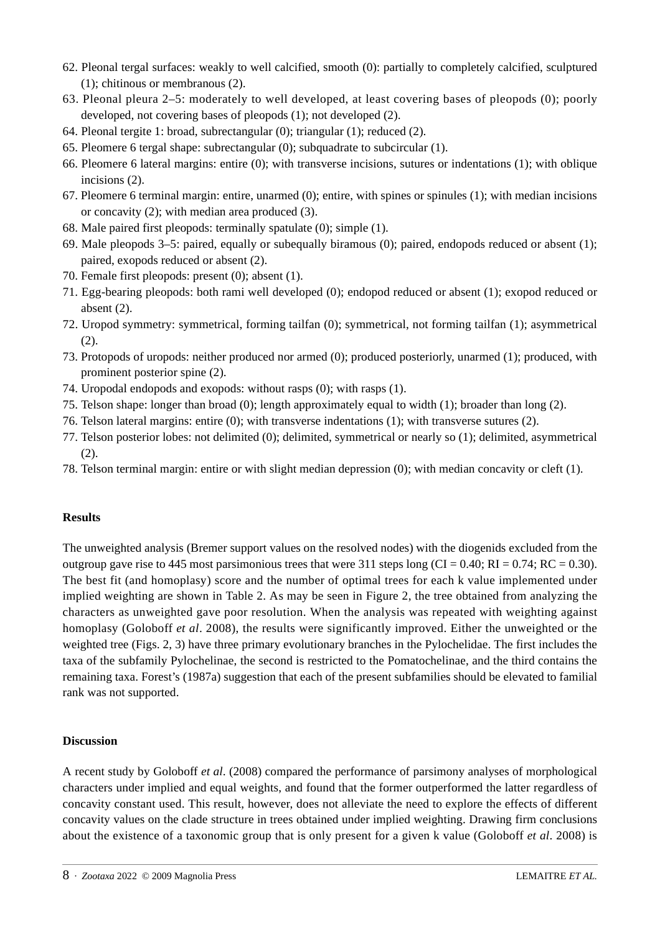- 62. Pleonal tergal surfaces: weakly to well calcified, smooth (0): partially to completely calcified, sculptured (1); chitinous or membranous (2).
- 63. Pleonal pleura 2–5: moderately to well developed, at least covering bases of pleopods (0); poorly developed, not covering bases of pleopods (1); not developed (2).
- 64. Pleonal tergite 1: broad, subrectangular (0); triangular (1); reduced (2).
- 65. Pleomere 6 tergal shape: subrectangular (0); subquadrate to subcircular (1).
- 66. Pleomere 6 lateral margins: entire (0); with transverse incisions, sutures or indentations (1); with oblique incisions (2).
- 67. Pleomere 6 terminal margin: entire, unarmed (0); entire, with spines or spinules (1); with median incisions or concavity (2); with median area produced (3).
- 68. Male paired first pleopods: terminally spatulate (0); simple (1).
- 69. Male pleopods 3–5: paired, equally or subequally biramous (0); paired, endopods reduced or absent (1); paired, exopods reduced or absent (2).
- 70. Female first pleopods: present (0); absent (1).
- 71. Egg-bearing pleopods: both rami well developed (0); endopod reduced or absent (1); exopod reduced or absent (2).
- 72. Uropod symmetry: symmetrical, forming tailfan (0); symmetrical, not forming tailfan (1); asymmetrical (2).
- 73. Protopods of uropods: neither produced nor armed (0); produced posteriorly, unarmed (1); produced, with prominent posterior spine (2).
- 74. Uropodal endopods and exopods: without rasps (0); with rasps (1).
- 75. Telson shape: longer than broad (0); length approximately equal to width (1); broader than long (2).
- 76. Telson lateral margins: entire (0); with transverse indentations (1); with transverse sutures (2).
- 77. Telson posterior lobes: not delimited (0); delimited, symmetrical or nearly so (1); delimited, asymmetrical (2).
- 78. Telson terminal margin: entire or with slight median depression (0); with median concavity or cleft (1).

# **Results**

The unweighted analysis (Bremer support values on the resolved nodes) with the diogenids excluded from the outgroup gave rise to 445 most parsimonious trees that were 311 steps long (CI =  $0.40$ ; RI =  $0.74$ ; RC =  $0.30$ ). The best fit (and homoplasy) score and the number of optimal trees for each k value implemented under implied weighting are shown in Table 2. As may be seen in Figure 2, the tree obtained from analyzing the characters as unweighted gave poor resolution. When the analysis was repeated with weighting against homoplasy (Goloboff *et al*. 2008), the results were significantly improved. Either the unweighted or the weighted tree (Figs. 2, 3) have three primary evolutionary branches in the Pylochelidae. The first includes the taxa of the subfamily Pylochelinae, the second is restricted to the Pomatochelinae, and the third contains the remaining taxa. Forest's (1987a) suggestion that each of the present subfamilies should be elevated to familial rank was not supported.

# **Discussion**

A recent study by Goloboff *et al*. (2008) compared the performance of parsimony analyses of morphological characters under implied and equal weights, and found that the former outperformed the latter regardless of concavity constant used. This result, however, does not alleviate the need to explore the effects of different concavity values on the clade structure in trees obtained under implied weighting. Drawing firm conclusions about the existence of a taxonomic group that is only present for a given k value (Goloboff *et al*. 2008) is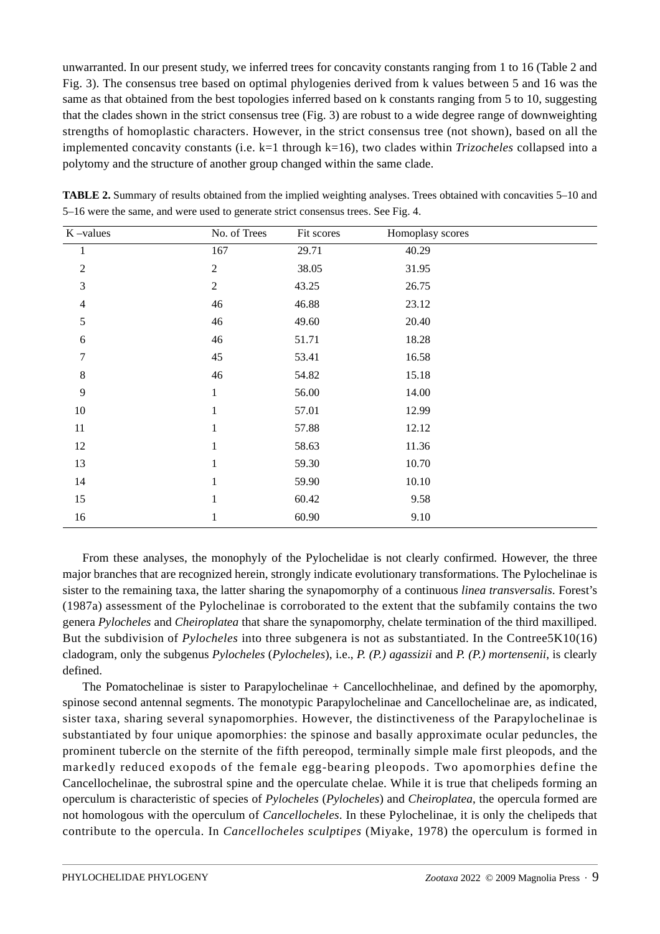unwarranted. In our present study, we inferred trees for concavity constants ranging from 1 to 16 (Table 2 and Fig. 3). The consensus tree based on optimal phylogenies derived from k values between 5 and 16 was the same as that obtained from the best topologies inferred based on k constants ranging from 5 to 10, suggesting that the clades shown in the strict consensus tree (Fig. 3) are robust to a wide degree range of downweighting strengths of homoplastic characters. However, in the strict consensus tree (not shown), based on all the implemented concavity constants (i.e. k=1 through k=16), two clades within *Trizocheles* collapsed into a polytomy and the structure of another group changed within the same clade.

| $K$ -values    | No. of Trees     | Fit scores | Homoplasy scores |
|----------------|------------------|------------|------------------|
| $\mathbf{1}$   | 167              | 29.71      | 40.29            |
| $\overline{2}$ | $\sqrt{2}$       | 38.05      | 31.95            |
| $\mathfrak{Z}$ | $\boldsymbol{2}$ | 43.25      | 26.75            |
| $\overline{4}$ | 46               | 46.88      | 23.12            |
| 5              | 46               | 49.60      | 20.40            |
| $\sqrt{6}$     | 46               | 51.71      | 18.28            |
| 7              | 45               | 53.41      | 16.58            |
| $\,8\,$        | 46               | 54.82      | 15.18            |
| 9              | 1                | 56.00      | 14.00            |
| 10             |                  | 57.01      | 12.99            |
| 11             | 1                | 57.88      | 12.12            |
| 12             |                  | 58.63      | 11.36            |
| 13             |                  | 59.30      | 10.70            |
| 14             |                  | 59.90      | 10.10            |
| 15             | 1                | 60.42      | 9.58             |
| 16             |                  | 60.90      | 9.10             |

**TABLE 2.** Summary of results obtained from the implied weighting analyses. Trees obtained with concavities 5–10 and 5–16 were the same, and were used to generate strict consensus trees. See Fig. 4.

From these analyses, the monophyly of the Pylochelidae is not clearly confirmed. However, the three major branches that are recognized herein, strongly indicate evolutionary transformations. The Pylochelinae is sister to the remaining taxa, the latter sharing the synapomorphy of a continuous *linea transversalis*. Forest's (1987a) assessment of the Pylochelinae is corroborated to the extent that the subfamily contains the two genera *Pylocheles* and *Cheiroplatea* that share the synapomorphy, chelate termination of the third maxilliped. But the subdivision of *Pylocheles* into three subgenera is not as substantiated. In the Contree5K10(16) cladogram, only the subgenus *Pylocheles* (*Pylocheles*), i.e., *P. (P.) agassizii* and *P. (P.) mortensenii*, is clearly defined.

The Pomatochelinae is sister to Parapylochelinae + Cancellochhelinae, and defined by the apomorphy, spinose second antennal segments. The monotypic Parapylochelinae and Cancellochelinae are, as indicated, sister taxa, sharing several synapomorphies. However, the distinctiveness of the Parapylochelinae is substantiated by four unique apomorphies: the spinose and basally approximate ocular peduncles, the prominent tubercle on the sternite of the fifth pereopod, terminally simple male first pleopods, and the markedly reduced exopods of the female egg-bearing pleopods. Two apomorphies define the Cancellochelinae, the subrostral spine and the operculate chelae. While it is true that chelipeds forming an operculum is characteristic of species of *Pylocheles* (*Pylocheles*) and *Cheiroplatea*, the opercula formed are not homologous with the operculum of *Cancellocheles*. In these Pylochelinae, it is only the chelipeds that contribute to the opercula. In *Cancellocheles sculptipes* (Miyake, 1978) the operculum is formed in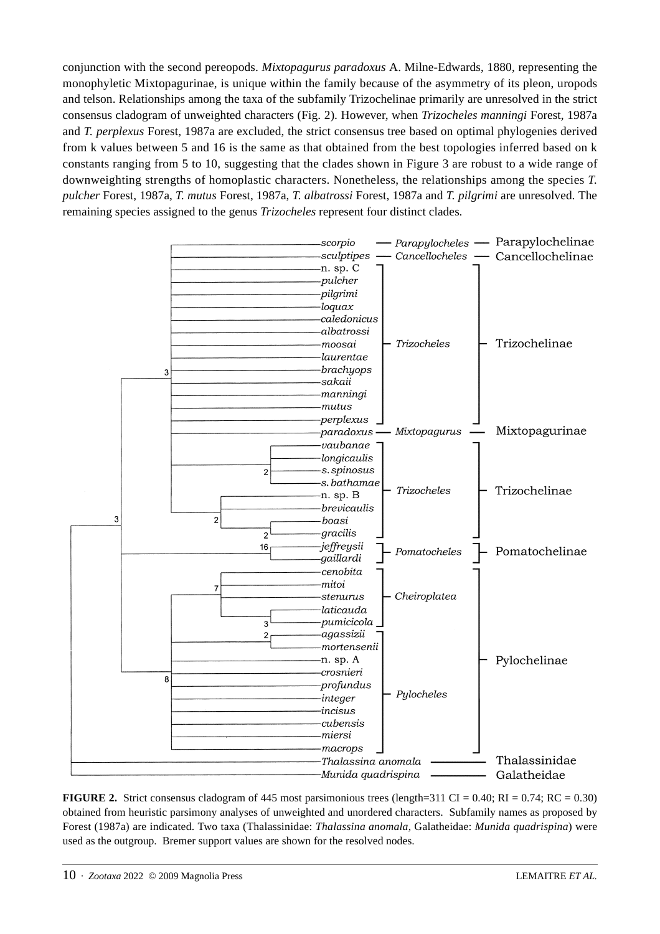conjunction with the second pereopods. *Mixtopagurus paradoxus* A. Milne-Edwards, 1880, representing the monophyletic Mixtopagurinae, is unique within the family because of the asymmetry of its pleon, uropods and telson. Relationships among the taxa of the subfamily Trizochelinae primarily are unresolved in the strict consensus cladogram of unweighted characters (Fig. 2). However, when *Trizocheles manningi* Forest, 1987a and *T. perplexus* Forest, 1987a are excluded, the strict consensus tree based on optimal phylogenies derived from k values between 5 and 16 is the same as that obtained from the best topologies inferred based on k constants ranging from 5 to 10, suggesting that the clades shown in Figure 3 are robust to a wide range of downweighting strengths of homoplastic characters. Nonetheless, the relationships among the species *T. pulcher* Forest, 1987a, *T. mutus* Forest, 1987a, *T. albatrossi* Forest, 1987a and *T. pilgrimi* are unresolved. The remaining species assigned to the genus *Trizocheles* represent four distinct clades.



**FIGURE 2.** Strict consensus cladogram of 445 most parsimonious trees (length=311 CI = 0.40; RI = 0.74; RC = 0.30) obtained from heuristic parsimony analyses of unweighted and unordered characters. Subfamily names as proposed by Forest (1987a) are indicated. Two taxa (Thalassinidae: *Thalassina anomala*, Galatheidae: *Munida quadrispina*) were used as the outgroup. Bremer support values are shown for the resolved nodes.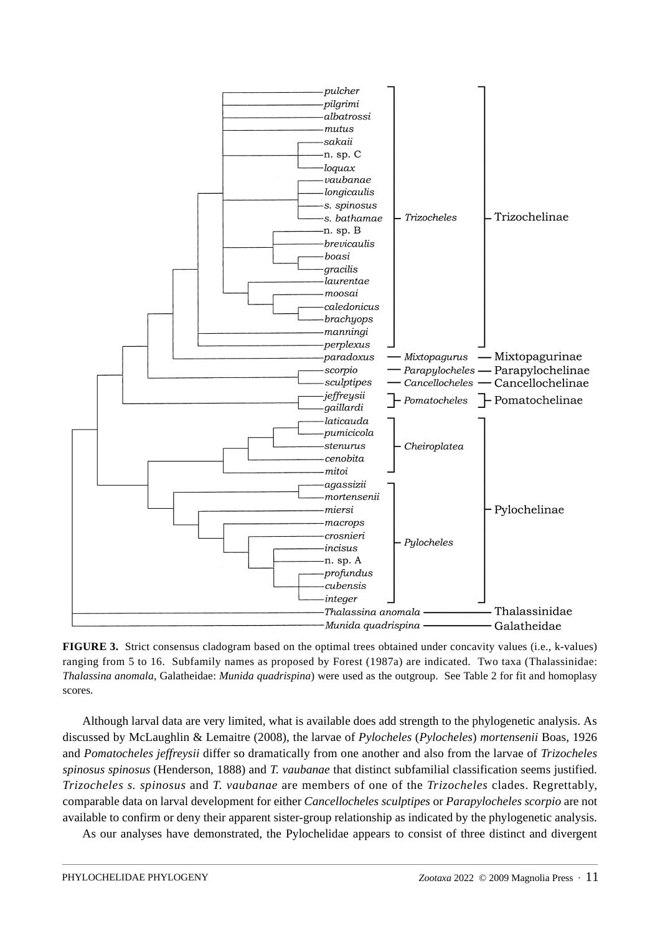

**FIGURE 3.** Strict consensus cladogram based on the optimal trees obtained under concavity values (i.e., k-values) ranging from 5 to 16. Subfamily names as proposed by Forest (1987a) are indicated. Two taxa (Thalassinidae: *Thalassina anomala*, Galatheidae: *Munida quadrispina*) were used as the outgroup. See Table 2 for fit and homoplasy scores.

Although larval data are very limited, what is available does add strength to the phylogenetic analysis. As discussed by McLaughlin & Lemaitre (2008), the larvae of *Pylocheles* (*Pylocheles*) *mortensenii* Boas, 1926 and *Pomatocheles jeffreysii* differ so dramatically from one another and also from the larvae of *Trizocheles spinosus spinosus* (Henderson, 1888) and *T. vaubanae* that distinct subfamilial classification seems justified. *Trizocheles s. spinosus* and *T. vaubanae* are members of one of the *Trizocheles* clades. Regrettably, comparable data on larval development for either *Cancellocheles sculptipes* or *Parapylocheles scorpio* are not available to confirm or deny their apparent sister-group relationship as indicated by the phylogenetic analysis.

As our analyses have demonstrated, the Pylochelidae appears to consist of three distinct and divergent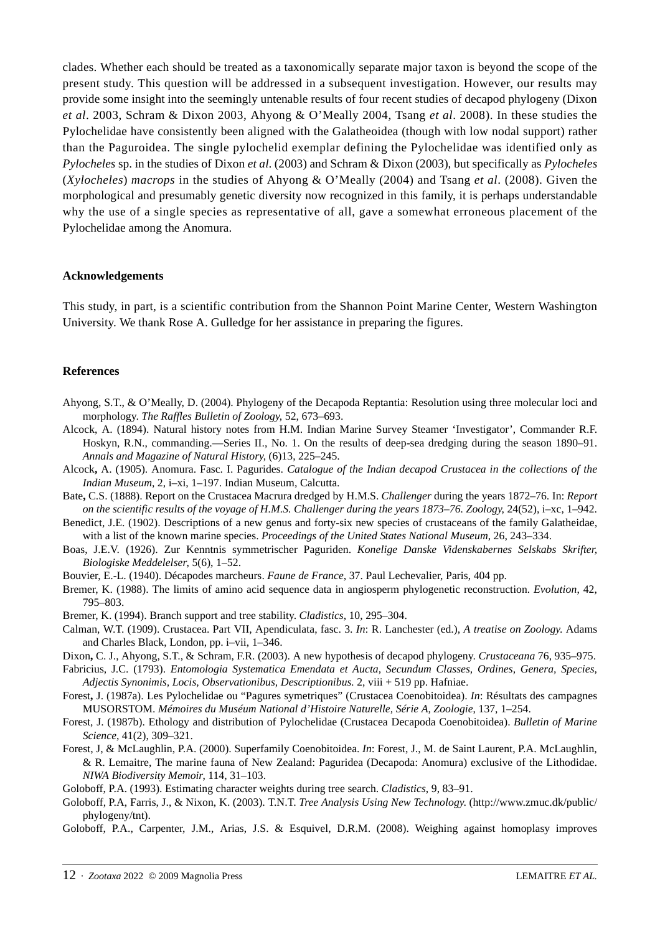clades. Whether each should be treated as a taxonomically separate major taxon is beyond the scope of the present study. This question will be addressed in a subsequent investigation. However, our results may provide some insight into the seemingly untenable results of four recent studies of decapod phylogeny (Dixon *et al*. 2003, Schram & Dixon 2003, Ahyong & O'Meally 2004, Tsang *et al*. 2008). In these studies the Pylochelidae have consistently been aligned with the Galatheoidea (though with low nodal support) rather than the Paguroidea. The single pylochelid exemplar defining the Pylochelidae was identified only as *Pylocheles* sp. in the studies of Dixon *et al*. (2003) and Schram & Dixon (2003), but specifically as *Pylocheles* (*Xylocheles*) *macrops* in the studies of Ahyong & O'Meally (2004) and Tsang *et al*. (2008). Given the morphological and presumably genetic diversity now recognized in this family, it is perhaps understandable why the use of a single species as representative of all, gave a somewhat erroneous placement of the Pylochelidae among the Anomura.

#### **Acknowledgements**

This study, in part, is a scientific contribution from the Shannon Point Marine Center, Western Washington University. We thank Rose A. Gulledge for her assistance in preparing the figures.

#### **References**

- Ahyong, S.T., & O'Meally, D. (2004). Phylogeny of the Decapoda Reptantia: Resolution using three molecular loci and morphology. *The Raffles Bulletin of Zoology*, 52, 673–693.
- Alcock, A. (1894). Natural history notes from H.M. Indian Marine Survey Steamer 'Investigator', Commander R.F. Hoskyn, R.N., commanding.—Series II., No. 1. On the results of deep-sea dredging during the season 1890–91. *Annals and Magazine of Natural History*, (6)13, 225–245.
- Alcock**,** A. (1905). Anomura. Fasc. I. Pagurides. *Catalogue of the Indian decapod Crustacea in the collections of the Indian Museum*, 2, i–xi, 1–197. Indian Museum, Calcutta.
- Bate**,** C.S. (1888). Report on the Crustacea Macrura dredged by H.M.S. *Challenger* during the years 1872–76. In: *Report on the scientific results of the voyage of H.M.S. Challenger during the years 1873–76. Zoology*, 24(52), i–xc, 1–942.
- Benedict, J.E. (1902). Descriptions of a new genus and forty-six new species of crustaceans of the family Galatheidae, with a list of the known marine species. *Proceedings of the United States National Museum*, 26, 243–334.
- Boas, J.E.V. (1926). Zur Kenntnis symmetrischer Paguriden. *Konelige Danske Videnskabernes Selskabs Skrifter, Biologiske Meddelelser*, 5(6), 1–52.
- Bouvier, E.-L. (1940). Décapodes marcheurs. *Faune de France*, 37. Paul Lechevalier, Paris, 404 pp.
- Bremer, K. (1988). The limits of amino acid sequence data in angiosperm phylogenetic reconstruction. *Evolution*, 42, 795–803.
- Bremer, K. (1994). Branch support and tree stability. *Cladistics*, 10, 295–304.
- Calman, W.T. (1909). Crustacea. Part VII, Apendiculata, fasc. 3. *In*: R. Lanchester (ed.), *A treatise on Zoology*. Adams and Charles Black, London, pp. i–vii, 1–346.
- Dixon**,** C. J., Ahyong, S.T., & Schram, F.R. (2003). A new hypothesis of decapod phylogeny. *Crustaceana* 76, 935–975.
- Fabricius, J.C. (1793). *Entomologia Systematica Emendata et Aucta, Secundum Classes, Ordines, Genera, Species, Adjectis Synonimis, Locis, Observationibus, Descriptionibus.* 2, viii + 519 pp. Hafniae.
- Forest**,** J. (1987a). Les Pylochelidae ou "Pagures symetriques" (Crustacea Coenobitoidea). *In*: Résultats des campagnes MUSORSTOM. *Mémoires du Muséum National d'Histoire Naturelle, Série A, Zoologie*, 137, 1–254.
- Forest, J. (1987b). Ethology and distribution of Pylochelidae (Crustacea Decapoda Coenobitoidea). *Bulletin of Marine Science*, 41(2), 309–321.
- Forest, J, & McLaughlin, P.A. (2000). Superfamily Coenobitoidea. *In*: Forest, J., M. de Saint Laurent, P.A. McLaughlin, & R. Lemaitre, The marine fauna of New Zealand: Paguridea (Decapoda: Anomura) exclusive of the Lithodidae. *NIWA Biodiversity Memoir*, 114, 31–103.
- Goloboff, P.A. (1993). Estimating character weights during tree search. *Cladistics*, 9, 83–91.
- Goloboff, P.A, Farris, J., & Nixon, K. (2003). T.N.T. *Tree Analysis Using New Technology*. (http://www.zmuc.dk/public/ phylogeny/tnt).
- Goloboff, P.A., Carpenter, J.M., Arias, J.S. & Esquivel, D.R.M. (2008). Weighing against homoplasy improves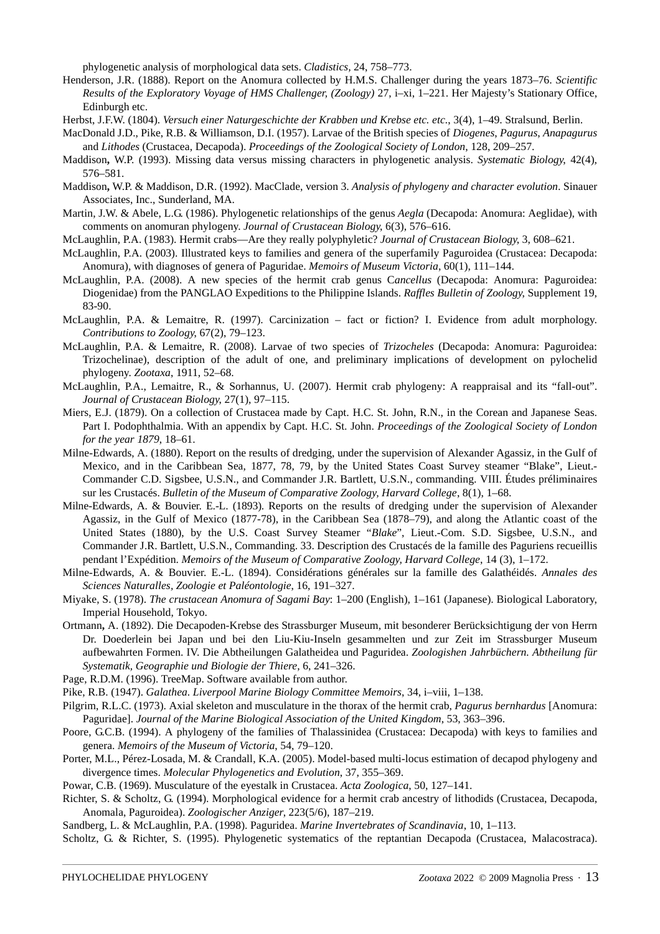phylogenetic analysis of morphological data sets. *Cladistics,* 24, 758–773.

- Henderson, J.R. (1888). Report on the Anomura collected by H.M.S. Challenger during the years 1873–76. *Scientific Results of the Exploratory Voyage of HMS Challenger, (Zoology)* 27, i–xi, 1–221. Her Majesty's Stationary Office, Edinburgh etc.
- Herbst, J.F.W. (1804). *Versuch einer Naturgeschichte der Krabben und Krebse etc. etc.*, 3(4), 1–49. Stralsund, Berlin.
- MacDonald J.D., Pike, R.B. & Williamson, D.I. (1957). Larvae of the British species of *Diogenes*, *Pagurus*, *Anapagurus* and *Lithodes* (Crustacea, Decapoda). *Proceedings of the Zoological Society of London*, 128, 209–257.
- Maddison**,** W.P. (1993). Missing data versus missing characters in phylogenetic analysis. *Systematic Biology*, 42(4), 576–581.
- Maddison**,** W.P. & Maddison, D.R. (1992). MacClade, version 3. *Analysis of phylogeny and character evolution*. Sinauer Associates, Inc., Sunderland, MA.
- Martin, J.W. & Abele, L.G. (1986). Phylogenetic relationships of the genus *Aegla* (Decapoda: Anomura: Aeglidae), with comments on anomuran phylogeny. *Journal of Crustacean Biology*, 6(3), 576–616.
- McLaughlin, P.A. (1983). Hermit crabs—Are they really polyphyletic? *Journal of Crustacean Biology*, 3, 608–621.
- McLaughlin, P.A. (2003). Illustrated keys to families and genera of the superfamily Paguroidea (Crustacea: Decapoda: Anomura), with diagnoses of genera of Paguridae. *Memoirs of Museum Victoria*, 60(1), 111–144.
- McLaughlin, P.A. (2008). A new species of the hermit crab genus C*ancellus* (Decapoda: Anomura: Paguroidea: Diogenidae) from the PANGLAO Expeditions to the Philippine Islands. *Raffles Bulletin of Zoology*, Supplement 19, 83-90.
- McLaughlin, P.A. & Lemaitre, R. (1997). Carcinization fact or fiction? I. Evidence from adult morphology. *Contributions to Zoology*, 67(2), 79–123.
- McLaughlin, P.A. & Lemaitre, R. (2008). Larvae of two species of *Trizocheles* (Decapoda: Anomura: Paguroidea: Trizochelinae), description of the adult of one, and preliminary implications of development on pylochelid phylogeny. *Zootaxa*, 1911, 52–68.
- McLaughlin, P.A., Lemaitre, R., & Sorhannus, U. (2007). Hermit crab phylogeny: A reappraisal and its "fall-out". *Journal of Crustacean Biology*, 27(1), 97–115.
- Miers, E.J. (1879). On a collection of Crustacea made by Capt. H.C. St. John, R.N., in the Corean and Japanese Seas. Part I. Podophthalmia. With an appendix by Capt. H.C. St. John. *Proceedings of the Zoological Society of London for the year 1879*, 18–61.
- Milne-Edwards, A. (1880). Report on the results of dredging, under the supervision of Alexander Agassiz, in the Gulf of Mexico, and in the Caribbean Sea, 1877, 78, 79, by the United States Coast Survey steamer "Blake", Lieut.- Commander C.D. Sigsbee, U.S.N., and Commander J.R. Bartlett, U.S.N., commanding. VIII. Études préliminaires sur les Crustacés. *Bulletin of the Museum of Comparative Zoology, Harvard College*, 8(1), 1–68.
- Milne-Edwards, A. & Bouvier. E.-L. (1893). Reports on the results of dredging under the supervision of Alexander Agassiz, in the Gulf of Mexico (1877-78), in the Caribbean Sea (1878–79), and along the Atlantic coast of the United States (1880), by the U.S. Coast Survey Steamer "*Blake*", Lieut.-Com. S.D. Sigsbee, U.S.N., and Commander J.R. Bartlett, U.S.N., Commanding. 33. Description des Crustacés de la famille des Paguriens recueillis pendant l'Expédition. *Memoirs of the Museum of Comparative Zoology, Harvard College*, 14 (3), 1–172.
- Milne-Edwards, A. & Bouvier. E.-L. (1894). Considérations générales sur la famille des Galathéidés. *Annales des Sciences Naturalles, Zoologie et Paléontologie*, 16, 191–327.
- Miyake, S. (1978). *The crustacean Anomura of Sagami Bay*: 1–200 (English), 1–161 (Japanese). Biological Laboratory, Imperial Household, Tokyo.
- Ortmann**,** A. (1892). Die Decapoden-Krebse des Strassburger Museum, mit besonderer Berücksichtigung der von Herrn Dr. Doederlein bei Japan und bei den Liu-Kiu-Inseln gesammelten und zur Zeit im Strassburger Museum aufbewahrten Formen. IV. Die Abtheilungen Galatheidea und Paguridea. *Zoologishen Jahrbüchern. Abtheilung für Systematik, Geographie und Biologie der Thiere*, 6, 241–326.
- Page, R.D.M. (1996). TreeMap. Software available from author.
- Pike, R.B. (1947). *Galathea*. *Liverpool Marine Biology Committee Memoirs*, 34, i–viii, 1–138.
- Pilgrim, R.L.C. (1973). Axial skeleton and musculature in the thorax of the hermit crab, *Pagurus bernhardus* [Anomura: Paguridae]. *Journal of the Marine Biological Association of the United Kingdom*, 53, 363–396.
- Poore, G.C.B. (1994). A phylogeny of the families of Thalassinidea (Crustacea: Decapoda) with keys to families and genera. *Memoirs of the Museum of Victoria*, 54, 79–120.
- Porter, M.L., Pérez-Losada, M. & Crandall, K.A. (2005). Model-based multi-locus estimation of decapod phylogeny and divergence times. *Molecular Phylogenetics and Evolution*, 37, 355–369.
- Powar, C.B. (1969). Musculature of the eyestalk in Crustacea. *Acta Zoologica*, 50, 127–141.
- Richter, S. & Scholtz, G. (1994). Morphological evidence for a hermit crab ancestry of lithodids (Crustacea, Decapoda, Anomala, Paguroidea). *Zoologischer Anziger*, 223(5/6), 187–219.
- Sandberg, L. & McLaughlin, P.A. (1998). Paguridea. *Marine Invertebrates of Scandinavia*, 10, 1–113.

Scholtz, G. & Richter, S. (1995). Phylogenetic systematics of the reptantian Decapoda (Crustacea, Malacostraca).